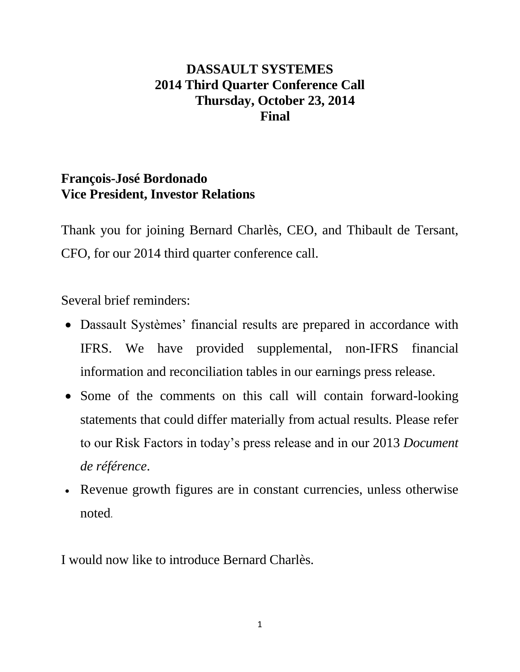# **DASSAULT SYSTEMES 2014 Third Quarter Conference Call Thursday, October 23, 2014 Final**

# **François-José Bordonado Vice President, Investor Relations**

Thank you for joining Bernard Charlès, CEO, and Thibault de Tersant, CFO, for our 2014 third quarter conference call.

Several brief reminders:

- Dassault Systèmes' financial results are prepared in accordance with IFRS. We have provided supplemental, non-IFRS financial information and reconciliation tables in our earnings press release.
- Some of the comments on this call will contain forward-looking statements that could differ materially from actual results. Please refer to our Risk Factors in today's press release and in our 2013 *Document de référence*.
- Revenue growth figures are in constant currencies, unless otherwise noted.

I would now like to introduce Bernard Charlès.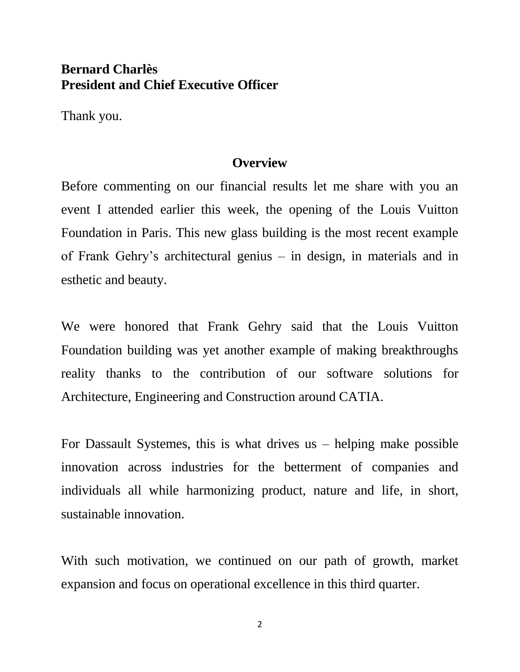### **Bernard Charlès President and Chief Executive Officer**

Thank you.

#### **Overview**

Before commenting on our financial results let me share with you an event I attended earlier this week, the opening of the Louis Vuitton Foundation in Paris. This new glass building is the most recent example of Frank Gehry's architectural genius – in design, in materials and in esthetic and beauty.

We were honored that Frank Gehry said that the Louis Vuitton Foundation building was yet another example of making breakthroughs reality thanks to the contribution of our software solutions for Architecture, Engineering and Construction around CATIA.

For Dassault Systemes, this is what drives us – helping make possible innovation across industries for the betterment of companies and individuals all while harmonizing product, nature and life, in short, sustainable innovation.

With such motivation, we continued on our path of growth, market expansion and focus on operational excellence in this third quarter.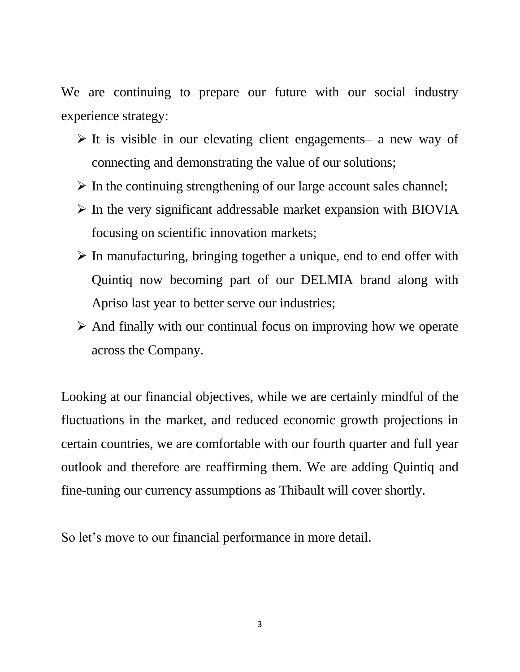We are continuing to prepare our future with our social industry experience strategy:

- $\triangleright$  It is visible in our elevating client engagements– a new way of connecting and demonstrating the value of our solutions;
- $\triangleright$  In the continuing strengthening of our large account sales channel;
- $\triangleright$  In the very significant addressable market expansion with BIOVIA focusing on scientific innovation markets;
- $\triangleright$  In manufacturing, bringing together a unique, end to end offer with Quintiq now becoming part of our DELMIA brand along with Apriso last year to better serve our industries;
- $\triangleright$  And finally with our continual focus on improving how we operate across the Company.

Looking at our financial objectives, while we are certainly mindful of the fluctuations in the market, and reduced economic growth projections in certain countries, we are comfortable with our fourth quarter and full year outlook and therefore are reaffirming them. We are adding Quintiq and fine-tuning our currency assumptions as Thibault will cover shortly.

So let's move to our financial performance in more detail.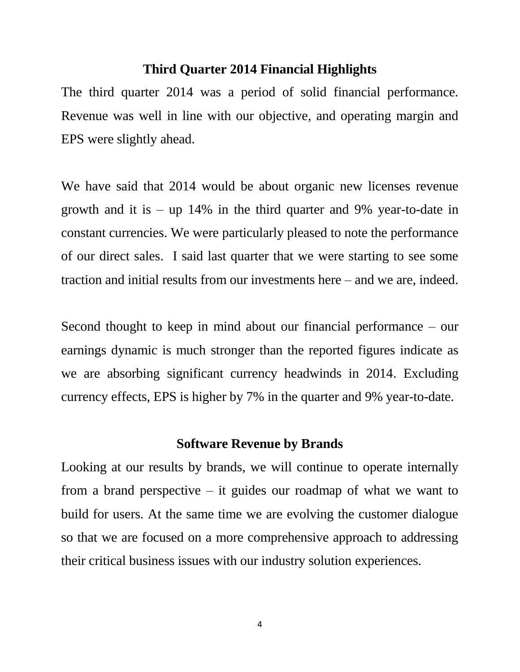### **Third Quarter 2014 Financial Highlights**

The third quarter 2014 was a period of solid financial performance. Revenue was well in line with our objective, and operating margin and EPS were slightly ahead.

We have said that 2014 would be about organic new licenses revenue growth and it is – up 14% in the third quarter and 9% year-to-date in constant currencies. We were particularly pleased to note the performance of our direct sales. I said last quarter that we were starting to see some traction and initial results from our investments here – and we are, indeed.

Second thought to keep in mind about our financial performance – our earnings dynamic is much stronger than the reported figures indicate as we are absorbing significant currency headwinds in 2014. Excluding currency effects, EPS is higher by 7% in the quarter and 9% year-to-date.

### **Software Revenue by Brands**

Looking at our results by brands, we will continue to operate internally from a brand perspective  $-$  it guides our roadmap of what we want to build for users. At the same time we are evolving the customer dialogue so that we are focused on a more comprehensive approach to addressing their critical business issues with our industry solution experiences.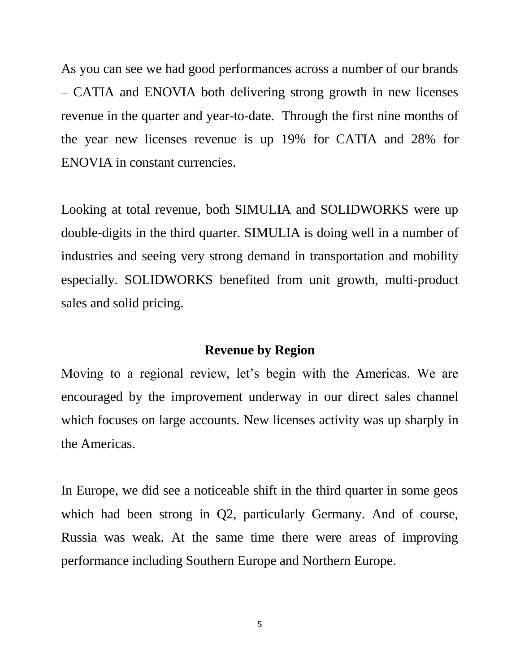As you can see we had good performances across a number of our brands – CATIA and ENOVIA both delivering strong growth in new licenses revenue in the quarter and year-to-date. Through the first nine months of the year new licenses revenue is up 19% for CATIA and 28% for ENOVIA in constant currencies.

Looking at total revenue, both SIMULIA and SOLIDWORKS were up double-digits in the third quarter. SIMULIA is doing well in a number of industries and seeing very strong demand in transportation and mobility especially. SOLIDWORKS benefited from unit growth, multi-product sales and solid pricing.

#### **Revenue by Region**

Moving to a regional review, let's begin with the Americas. We are encouraged by the improvement underway in our direct sales channel which focuses on large accounts. New licenses activity was up sharply in the Americas.

In Europe, we did see a noticeable shift in the third quarter in some geos which had been strong in Q2, particularly Germany. And of course, Russia was weak. At the same time there were areas of improving performance including Southern Europe and Northern Europe.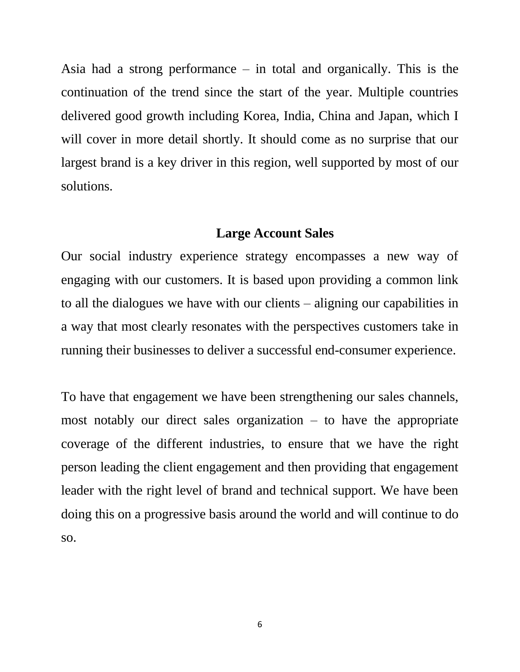Asia had a strong performance – in total and organically. This is the continuation of the trend since the start of the year. Multiple countries delivered good growth including Korea, India, China and Japan, which I will cover in more detail shortly. It should come as no surprise that our largest brand is a key driver in this region, well supported by most of our solutions.

### **Large Account Sales**

Our social industry experience strategy encompasses a new way of engaging with our customers. It is based upon providing a common link to all the dialogues we have with our clients – aligning our capabilities in a way that most clearly resonates with the perspectives customers take in running their businesses to deliver a successful end-consumer experience.

To have that engagement we have been strengthening our sales channels, most notably our direct sales organization – to have the appropriate coverage of the different industries, to ensure that we have the right person leading the client engagement and then providing that engagement leader with the right level of brand and technical support. We have been doing this on a progressive basis around the world and will continue to do so.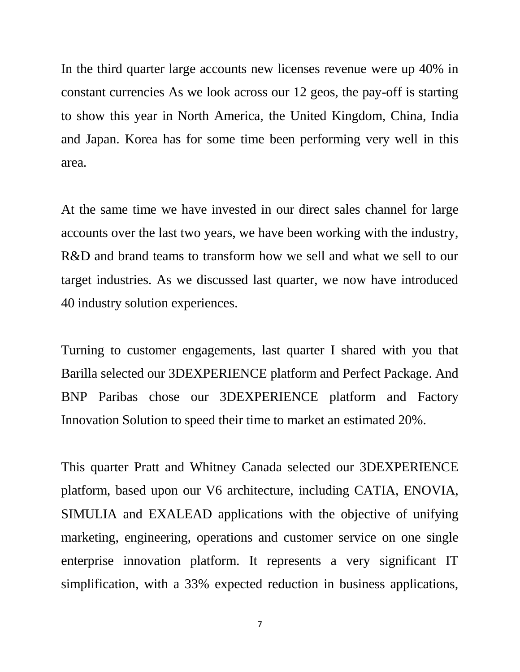In the third quarter large accounts new licenses revenue were up 40% in constant currencies As we look across our 12 geos, the pay-off is starting to show this year in North America, the United Kingdom, China, India and Japan. Korea has for some time been performing very well in this area.

At the same time we have invested in our direct sales channel for large accounts over the last two years, we have been working with the industry, R&D and brand teams to transform how we sell and what we sell to our target industries. As we discussed last quarter, we now have introduced 40 industry solution experiences.

Turning to customer engagements, last quarter I shared with you that Barilla selected our 3DEXPERIENCE platform and Perfect Package. And BNP Paribas chose our 3DEXPERIENCE platform and Factory Innovation Solution to speed their time to market an estimated 20%.

This quarter Pratt and Whitney Canada selected our 3DEXPERIENCE platform, based upon our V6 architecture, including CATIA, ENOVIA, SIMULIA and EXALEAD applications with the objective of unifying marketing, engineering, operations and customer service on one single enterprise innovation platform. It represents a very significant IT simplification, with a 33% expected reduction in business applications,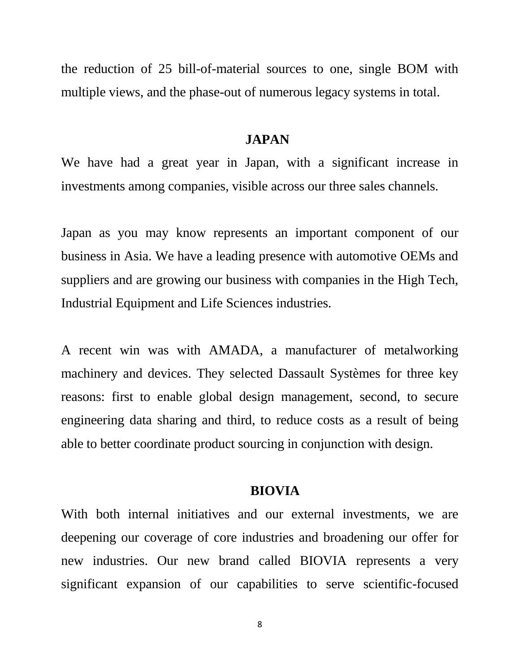the reduction of 25 bill-of-material sources to one, single BOM with multiple views, and the phase-out of numerous legacy systems in total.

#### **JAPAN**

We have had a great year in Japan, with a significant increase in investments among companies, visible across our three sales channels.

Japan as you may know represents an important component of our business in Asia. We have a leading presence with automotive OEMs and suppliers and are growing our business with companies in the High Tech, Industrial Equipment and Life Sciences industries.

A recent win was with AMADA, a manufacturer of metalworking machinery and devices. They selected Dassault Systèmes for three key reasons: first to enable global design management, second, to secure engineering data sharing and third, to reduce costs as a result of being able to better coordinate product sourcing in conjunction with design.

#### **BIOVIA**

With both internal initiatives and our external investments, we are deepening our coverage of core industries and broadening our offer for new industries. Our new brand called BIOVIA represents a very significant expansion of our capabilities to serve scientific-focused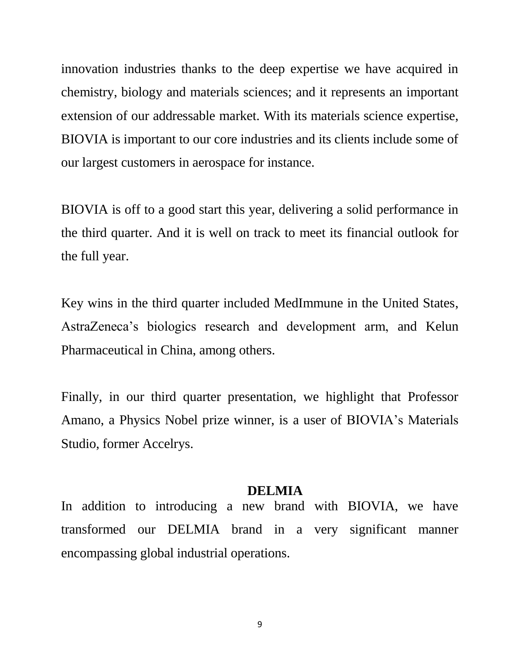innovation industries thanks to the deep expertise we have acquired in chemistry, biology and materials sciences; and it represents an important extension of our addressable market. With its materials science expertise, BIOVIA is important to our core industries and its clients include some of our largest customers in aerospace for instance.

BIOVIA is off to a good start this year, delivering a solid performance in the third quarter. And it is well on track to meet its financial outlook for the full year.

Key wins in the third quarter included MedImmune in the United States, AstraZeneca's biologics research and development arm, and Kelun Pharmaceutical in China, among others.

Finally, in our third quarter presentation, we highlight that Professor Amano, a Physics Nobel prize winner, is a user of BIOVIA's Materials Studio, former Accelrys.

#### **DELMIA**

In addition to introducing a new brand with BIOVIA, we have transformed our DELMIA brand in a very significant manner encompassing global industrial operations.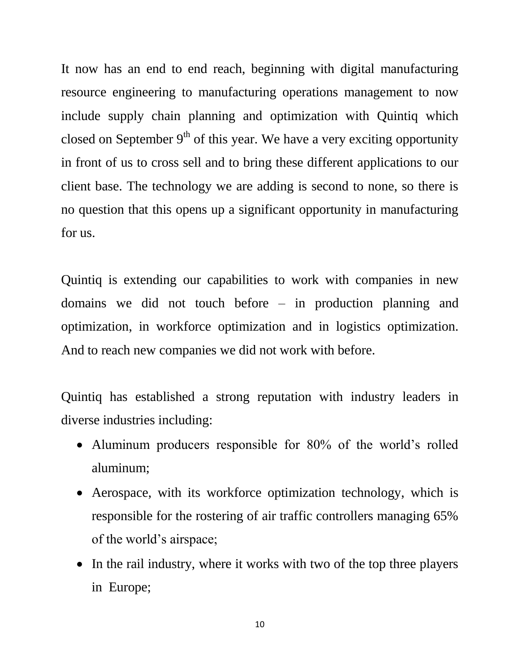It now has an end to end reach, beginning with digital manufacturing resource engineering to manufacturing operations management to now include supply chain planning and optimization with Quintiq which closed on September  $9<sup>th</sup>$  of this year. We have a very exciting opportunity in front of us to cross sell and to bring these different applications to our client base. The technology we are adding is second to none, so there is no question that this opens up a significant opportunity in manufacturing for us.

Quintiq is extending our capabilities to work with companies in new domains we did not touch before – in production planning and optimization, in workforce optimization and in logistics optimization. And to reach new companies we did not work with before.

Quintiq has established a strong reputation with industry leaders in diverse industries including:

- Aluminum producers responsible for 80% of the world's rolled aluminum;
- Aerospace, with its workforce optimization technology, which is responsible for the rostering of air traffic controllers managing 65% of the world's airspace;
- In the rail industry, where it works with two of the top three players in Europe;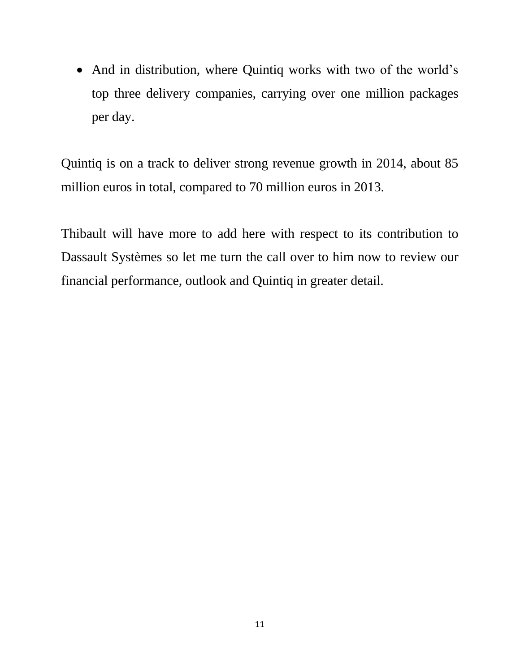• And in distribution, where Quintiq works with two of the world's top three delivery companies, carrying over one million packages per day.

Quintiq is on a track to deliver strong revenue growth in 2014, about 85 million euros in total, compared to 70 million euros in 2013.

Thibault will have more to add here with respect to its contribution to Dassault Systèmes so let me turn the call over to him now to review our financial performance, outlook and Quintiq in greater detail.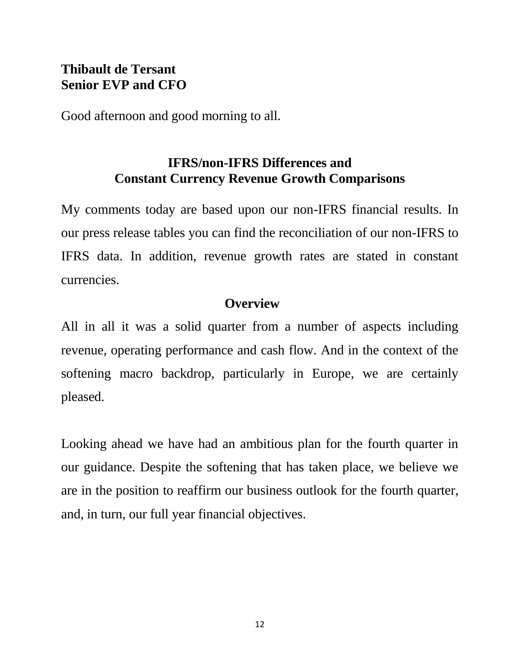# **Thibault de Tersant Senior EVP and CFO**

Good afternoon and good morning to all.

# **IFRS/non-IFRS Differences and Constant Currency Revenue Growth Comparisons**

My comments today are based upon our non-IFRS financial results. In our press release tables you can find the reconciliation of our non-IFRS to IFRS data. In addition, revenue growth rates are stated in constant currencies.

## **Overview**

All in all it was a solid quarter from a number of aspects including revenue, operating performance and cash flow. And in the context of the softening macro backdrop, particularly in Europe, we are certainly pleased.

Looking ahead we have had an ambitious plan for the fourth quarter in our guidance. Despite the softening that has taken place, we believe we are in the position to reaffirm our business outlook for the fourth quarter, and, in turn, our full year financial objectives.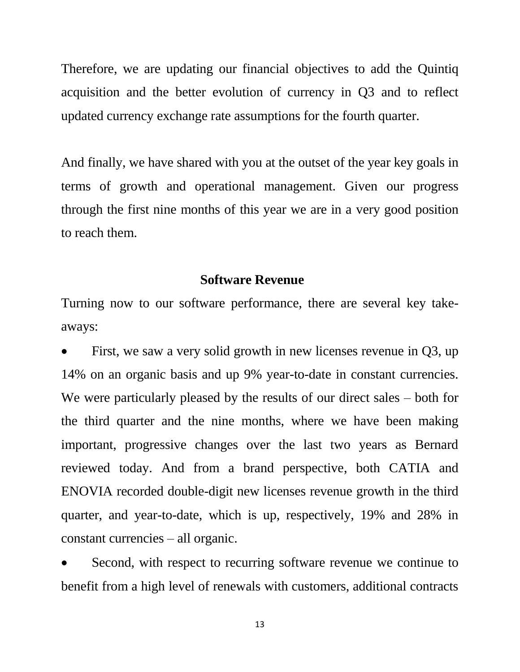Therefore, we are updating our financial objectives to add the Quintiq acquisition and the better evolution of currency in Q3 and to reflect updated currency exchange rate assumptions for the fourth quarter.

And finally, we have shared with you at the outset of the year key goals in terms of growth and operational management. Given our progress through the first nine months of this year we are in a very good position to reach them.

#### **Software Revenue**

Turning now to our software performance, there are several key takeaways:

 First, we saw a very solid growth in new licenses revenue in Q3, up 14% on an organic basis and up 9% year-to-date in constant currencies. We were particularly pleased by the results of our direct sales – both for the third quarter and the nine months, where we have been making important, progressive changes over the last two years as Bernard reviewed today. And from a brand perspective, both CATIA and ENOVIA recorded double-digit new licenses revenue growth in the third quarter, and year-to-date, which is up, respectively, 19% and 28% in constant currencies – all organic.

 Second, with respect to recurring software revenue we continue to benefit from a high level of renewals with customers, additional contracts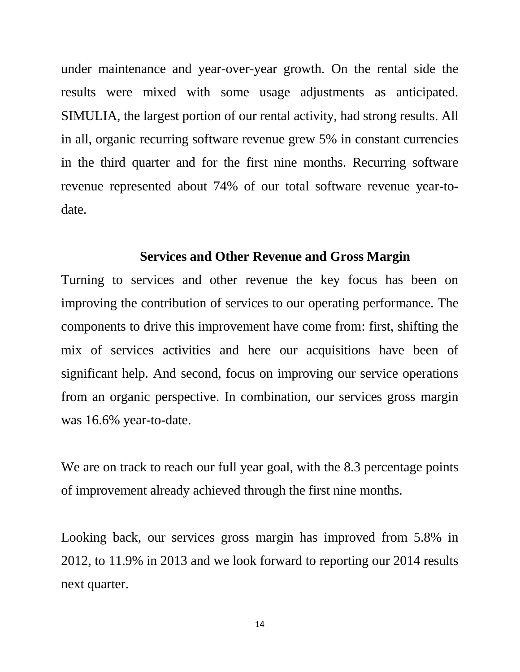under maintenance and year-over-year growth. On the rental side the results were mixed with some usage adjustments as anticipated. SIMULIA, the largest portion of our rental activity, had strong results. All in all, organic recurring software revenue grew 5% in constant currencies in the third quarter and for the first nine months. Recurring software revenue represented about 74% of our total software revenue year-todate.

### **Services and Other Revenue and Gross Margin**

Turning to services and other revenue the key focus has been on improving the contribution of services to our operating performance. The components to drive this improvement have come from: first, shifting the mix of services activities and here our acquisitions have been of significant help. And second, focus on improving our service operations from an organic perspective. In combination, our services gross margin was 16.6% year-to-date.

We are on track to reach our full year goal, with the 8.3 percentage points of improvement already achieved through the first nine months.

Looking back, our services gross margin has improved from 5.8% in 2012, to 11.9% in 2013 and we look forward to reporting our 2014 results next quarter.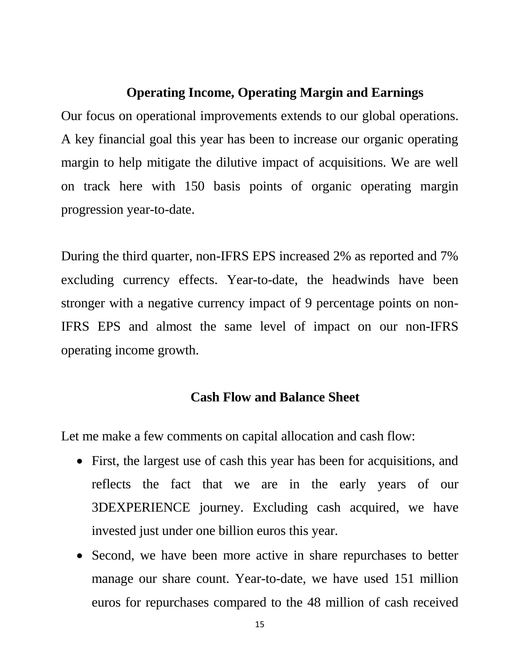### **Operating Income, Operating Margin and Earnings**

Our focus on operational improvements extends to our global operations. A key financial goal this year has been to increase our organic operating margin to help mitigate the dilutive impact of acquisitions. We are well on track here with 150 basis points of organic operating margin progression year-to-date.

During the third quarter, non-IFRS EPS increased 2% as reported and 7% excluding currency effects. Year-to-date, the headwinds have been stronger with a negative currency impact of 9 percentage points on non-IFRS EPS and almost the same level of impact on our non-IFRS operating income growth.

## **Cash Flow and Balance Sheet**

Let me make a few comments on capital allocation and cash flow:

- First, the largest use of cash this year has been for acquisitions, and reflects the fact that we are in the early years of our 3DEXPERIENCE journey. Excluding cash acquired, we have invested just under one billion euros this year.
- Second, we have been more active in share repurchases to better manage our share count. Year-to-date, we have used 151 million euros for repurchases compared to the 48 million of cash received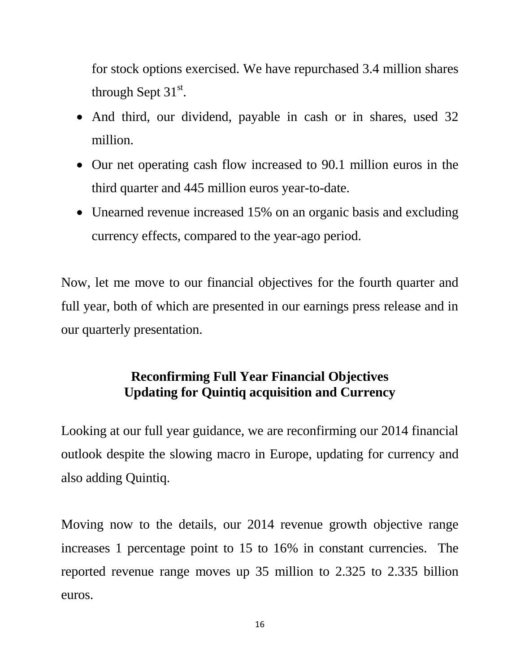for stock options exercised. We have repurchased 3.4 million shares through Sept  $31<sup>st</sup>$ .

- And third, our dividend, payable in cash or in shares, used 32 million.
- Our net operating cash flow increased to 90.1 million euros in the third quarter and 445 million euros year-to-date.
- Unearned revenue increased 15% on an organic basis and excluding currency effects, compared to the year-ago period.

Now, let me move to our financial objectives for the fourth quarter and full year, both of which are presented in our earnings press release and in our quarterly presentation.

# **Reconfirming Full Year Financial Objectives Updating for Quintiq acquisition and Currency**

Looking at our full year guidance, we are reconfirming our 2014 financial outlook despite the slowing macro in Europe, updating for currency and also adding Quintiq.

Moving now to the details, our 2014 revenue growth objective range increases 1 percentage point to 15 to 16% in constant currencies. The reported revenue range moves up 35 million to 2.325 to 2.335 billion euros.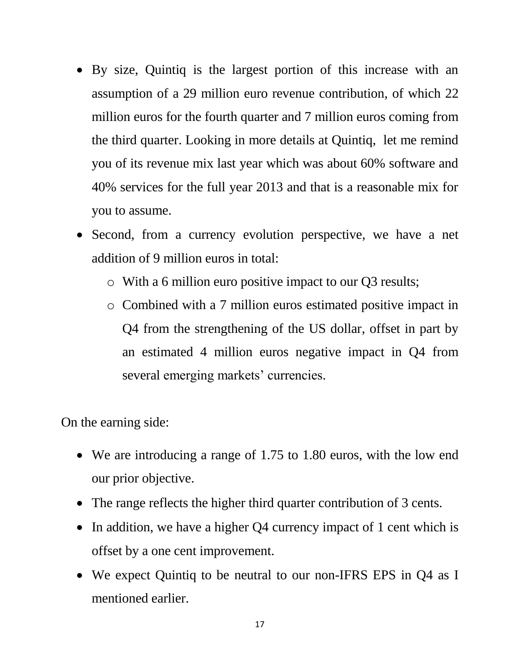- By size, Quintiq is the largest portion of this increase with an assumption of a 29 million euro revenue contribution, of which 22 million euros for the fourth quarter and 7 million euros coming from the third quarter. Looking in more details at Quintiq, let me remind you of its revenue mix last year which was about 60% software and 40% services for the full year 2013 and that is a reasonable mix for you to assume.
- Second, from a currency evolution perspective, we have a net addition of 9 million euros in total:
	- o With a 6 million euro positive impact to our Q3 results;
	- o Combined with a 7 million euros estimated positive impact in Q4 from the strengthening of the US dollar, offset in part by an estimated 4 million euros negative impact in Q4 from several emerging markets' currencies.

On the earning side:

- We are introducing a range of 1.75 to 1.80 euros, with the low end our prior objective.
- The range reflects the higher third quarter contribution of 3 cents.
- In addition, we have a higher Q4 currency impact of 1 cent which is offset by a one cent improvement.
- We expect Quintiq to be neutral to our non-IFRS EPS in Q4 as I mentioned earlier.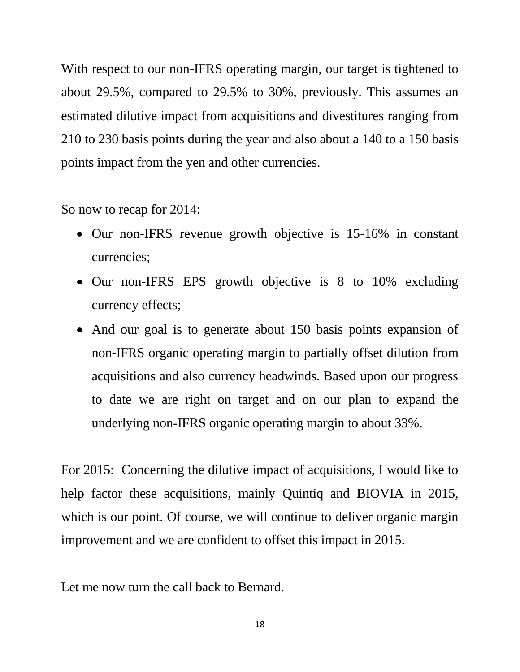With respect to our non-IFRS operating margin, our target is tightened to about 29.5%, compared to 29.5% to 30%, previously. This assumes an estimated dilutive impact from acquisitions and divestitures ranging from 210 to 230 basis points during the year and also about a 140 to a 150 basis points impact from the yen and other currencies.

So now to recap for 2014:

- Our non-IFRS revenue growth objective is 15-16% in constant currencies;
- Our non-IFRS EPS growth objective is 8 to 10% excluding currency effects;
- And our goal is to generate about 150 basis points expansion of non-IFRS organic operating margin to partially offset dilution from acquisitions and also currency headwinds. Based upon our progress to date we are right on target and on our plan to expand the underlying non-IFRS organic operating margin to about 33%.

For 2015: Concerning the dilutive impact of acquisitions, I would like to help factor these acquisitions, mainly Quintiq and BIOVIA in 2015, which is our point. Of course, we will continue to deliver organic margin improvement and we are confident to offset this impact in 2015.

Let me now turn the call back to Bernard.